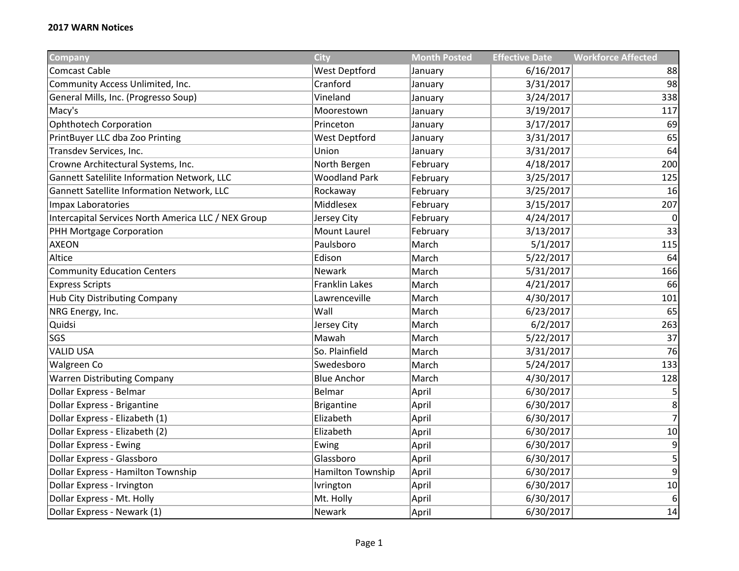| Company                                             | <b>City</b>           | <b>Month Posted</b> | <b>Effective Date</b> | <b>Workforce Affected</b> |
|-----------------------------------------------------|-----------------------|---------------------|-----------------------|---------------------------|
| <b>Comcast Cable</b>                                | <b>West Deptford</b>  | January             | 6/16/2017             | 88                        |
| Community Access Unlimited, Inc.                    | Cranford              | January             | 3/31/2017             | 98                        |
| General Mills, Inc. (Progresso Soup)                | Vineland              | January             | 3/24/2017             | 338                       |
| Macy's                                              | Moorestown            | January             | 3/19/2017             | 117                       |
| <b>Ophthotech Corporation</b>                       | Princeton             | January             | 3/17/2017             | 69                        |
| PrintBuyer LLC dba Zoo Printing                     | <b>West Deptford</b>  | January             | 3/31/2017             | 65                        |
| Transdev Services, Inc.                             | Union                 | January             | 3/31/2017             | 64                        |
| Crowne Architectural Systems, Inc.                  | North Bergen          | February            | 4/18/2017             | 200                       |
| Gannett Satelilite Information Network, LLC         | <b>Woodland Park</b>  | February            | 3/25/2017             | 125                       |
| Gannett Satellite Information Network, LLC          | Rockaway              | February            | 3/25/2017             | 16                        |
| Impax Laboratories                                  | Middlesex             | February            | 3/15/2017             | 207                       |
| Intercapital Services North America LLC / NEX Group | Jersey City           | February            | 4/24/2017             | 0                         |
| PHH Mortgage Corporation                            | Mount Laurel          | February            | 3/13/2017             | 33                        |
| <b>AXEON</b>                                        | Paulsboro             | March               | 5/1/2017              | 115                       |
| Altice                                              | Edison                | March               | 5/22/2017             | 64                        |
| <b>Community Education Centers</b>                  | Newark                | March               | 5/31/2017             | 166                       |
| <b>Express Scripts</b>                              | <b>Franklin Lakes</b> | March               | 4/21/2017             | 66                        |
| Hub City Distributing Company                       | Lawrenceville         | March               | 4/30/2017             | 101                       |
| NRG Energy, Inc.                                    | Wall                  | March               | 6/23/2017             | 65                        |
| Quidsi                                              | Jersey City           | March               | 6/2/2017              | 263                       |
| SGS                                                 | Mawah                 | March               | 5/22/2017             | 37                        |
| <b>VALID USA</b>                                    | So. Plainfield        | March               | 3/31/2017             | 76                        |
| Walgreen Co                                         | Swedesboro            | March               | 5/24/2017             | 133                       |
| <b>Warren Distributing Company</b>                  | <b>Blue Anchor</b>    | March               | 4/30/2017             | 128                       |
| Dollar Express - Belmar                             | <b>Belmar</b>         | April               | 6/30/2017             | 5                         |
| Dollar Express - Brigantine                         | <b>Brigantine</b>     | April               | 6/30/2017             | 8                         |
| Dollar Express - Elizabeth (1)                      | Elizabeth             | April               | 6/30/2017             | $\overline{7}$            |
| Dollar Express - Elizabeth (2)                      | Elizabeth             | April               | 6/30/2017             | 10                        |
| <b>Dollar Express - Ewing</b>                       | Ewing                 | April               | 6/30/2017             | 9                         |
| Dollar Express - Glassboro                          | Glassboro             | April               | 6/30/2017             | 5                         |
| Dollar Express - Hamilton Township                  | Hamilton Township     | April               | 6/30/2017             | $\overline{9}$            |
| Dollar Express - Irvington                          | Ivrington             | April               | 6/30/2017             | $10\,$                    |
| Dollar Express - Mt. Holly                          | Mt. Holly             | April               | 6/30/2017             | $6 \mid$                  |
| Dollar Express - Newark (1)                         | <b>Newark</b>         | April               | 6/30/2017             | 14                        |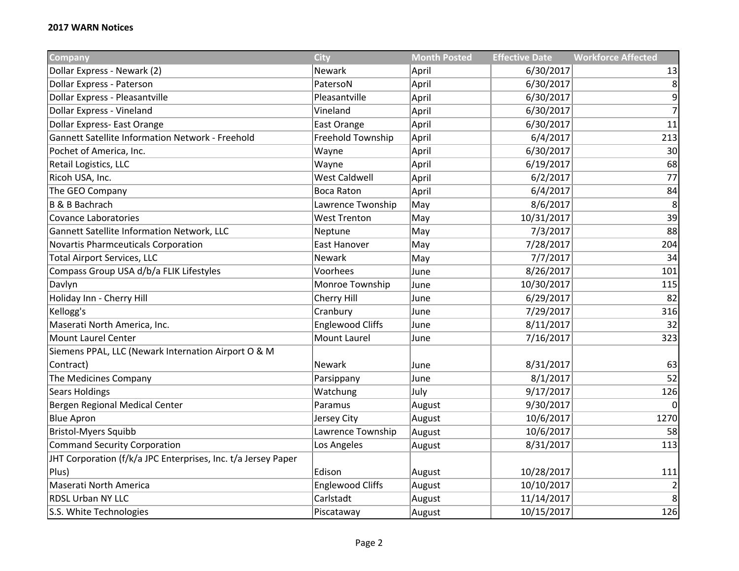| <b>Company</b>                                                | <b>City</b>             | <b>Month Posted</b> | <b>Effective Date</b> | <b>Workforce Affected</b> |
|---------------------------------------------------------------|-------------------------|---------------------|-----------------------|---------------------------|
| Dollar Express - Newark (2)                                   | Newark                  | April               | 6/30/2017             | 13                        |
| Dollar Express - Paterson                                     | PatersoN                | April               | 6/30/2017             | 8                         |
| Dollar Express - Pleasantville                                | Pleasantville           | April               | 6/30/2017             | $\overline{9}$            |
| Dollar Express - Vineland                                     | Vineland                | April               | 6/30/2017             | $\overline{7}$            |
| Dollar Express- East Orange                                   | East Orange             | April               | 6/30/2017             | 11                        |
| Gannett Satellite Information Network - Freehold              | Freehold Township       | April               | 6/4/2017              | 213                       |
| Pochet of America, Inc.                                       | Wayne                   | April               | 6/30/2017             | 30                        |
| Retail Logistics, LLC                                         | Wayne                   | April               | 6/19/2017             | 68                        |
| Ricoh USA, Inc.                                               | <b>West Caldwell</b>    | April               | 6/2/2017              | 77                        |
| The GEO Company                                               | <b>Boca Raton</b>       | April               | 6/4/2017              | 84                        |
| B & B Bachrach                                                | Lawrence Twonship       | May                 | 8/6/2017              | 8                         |
| Covance Laboratories                                          | <b>West Trenton</b>     | May                 | 10/31/2017            | 39                        |
| Gannett Satellite Information Network, LLC                    | Neptune                 | May                 | 7/3/2017              | 88                        |
| Novartis Pharmceuticals Corporation                           | <b>East Hanover</b>     | May                 | 7/28/2017             | 204                       |
| <b>Total Airport Services, LLC</b>                            | Newark                  | May                 | 7/7/2017              | 34                        |
| Compass Group USA d/b/a FLIK Lifestyles                       | Voorhees                | June                | 8/26/2017             | 101                       |
| Davlyn                                                        | Monroe Township         | June                | 10/30/2017            | 115                       |
| Holiday Inn - Cherry Hill                                     | Cherry Hill             | June                | 6/29/2017             | 82                        |
| Kellogg's                                                     | Cranbury                | June                | 7/29/2017             | 316                       |
| Maserati North America, Inc.                                  | <b>Englewood Cliffs</b> | June                | 8/11/2017             | 32                        |
| Mount Laurel Center                                           | Mount Laurel            | June                | 7/16/2017             | 323                       |
| Siemens PPAL, LLC (Newark Internation Airport O & M           |                         |                     |                       |                           |
| Contract)                                                     | Newark                  | June                | 8/31/2017             | 63                        |
| The Medicines Company                                         | Parsippany              | June                | 8/1/2017              | 52                        |
| <b>Sears Holdings</b>                                         | Watchung                | July                | 9/17/2017             | 126                       |
| Bergen Regional Medical Center                                | Paramus                 | August              | 9/30/2017             | $\Omega$                  |
| <b>Blue Apron</b>                                             | Jersey City             | August              | 10/6/2017             | 1270                      |
| <b>Bristol-Myers Squibb</b>                                   | Lawrence Township       | August              | 10/6/2017             | 58                        |
| Command Security Corporation                                  | Los Angeles             | August              | 8/31/2017             | 113                       |
| JHT Corporation (f/k/a JPC Enterprises, Inc. t/a Jersey Paper |                         |                     |                       |                           |
| Plus)                                                         | Edison                  | August              | 10/28/2017            | 111                       |
| Maserati North America                                        | <b>Englewood Cliffs</b> | August              | 10/10/2017            | $\overline{2}$            |
| <b>RDSL Urban NY LLC</b>                                      | Carlstadt               | August              | 11/14/2017            | $\overline{\mathbf{8}}$   |
| S.S. White Technologies                                       | Piscataway              | August              | 10/15/2017            | 126                       |